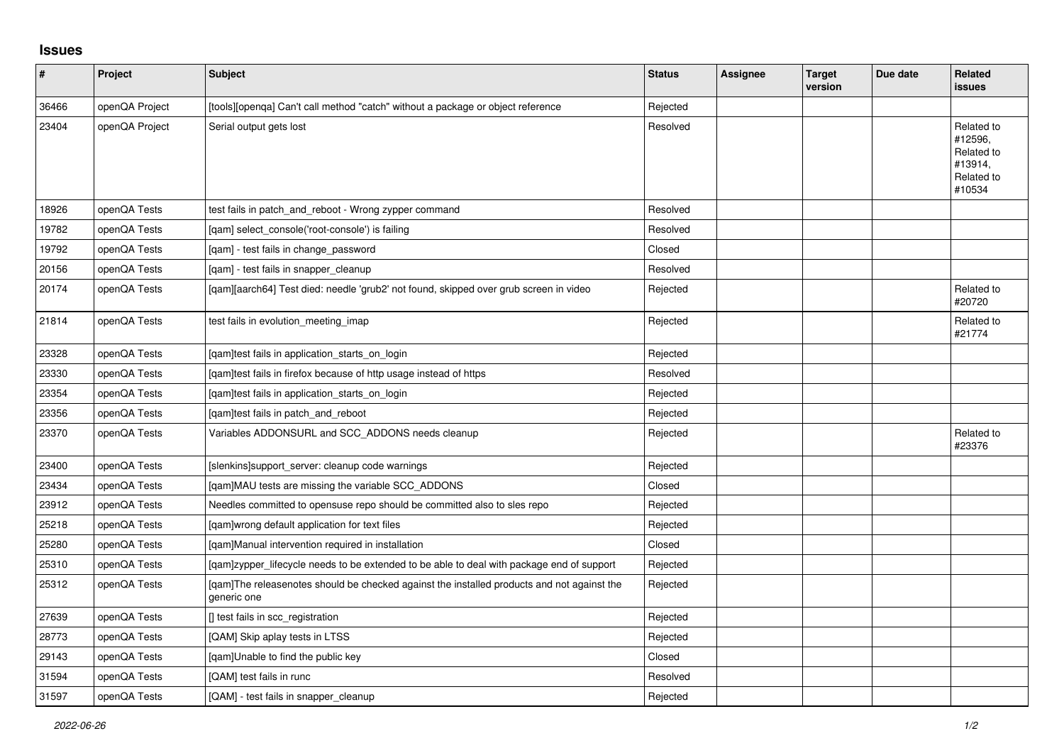## **Issues**

| $\pmb{\#}$ | Project        | <b>Subject</b>                                                                                            | <b>Status</b> | Assignee | <b>Target</b><br>version | Due date | <b>Related</b><br>issues                                               |
|------------|----------------|-----------------------------------------------------------------------------------------------------------|---------------|----------|--------------------------|----------|------------------------------------------------------------------------|
| 36466      | openQA Project | [tools][openqa] Can't call method "catch" without a package or object reference                           | Rejected      |          |                          |          |                                                                        |
| 23404      | openQA Project | Serial output gets lost                                                                                   | Resolved      |          |                          |          | Related to<br>#12596,<br>Related to<br>#13914,<br>Related to<br>#10534 |
| 18926      | openQA Tests   | test fails in patch_and_reboot - Wrong zypper command                                                     | Resolved      |          |                          |          |                                                                        |
| 19782      | openQA Tests   | [qam] select_console('root-console') is failing                                                           | Resolved      |          |                          |          |                                                                        |
| 19792      | openQA Tests   | [qam] - test fails in change_password                                                                     | Closed        |          |                          |          |                                                                        |
| 20156      | openQA Tests   | [qam] - test fails in snapper_cleanup                                                                     | Resolved      |          |                          |          |                                                                        |
| 20174      | openQA Tests   | [qam][aarch64] Test died: needle 'grub2' not found, skipped over grub screen in video                     | Rejected      |          |                          |          | Related to<br>#20720                                                   |
| 21814      | openQA Tests   | test fails in evolution_meeting_imap                                                                      | Rejected      |          |                          |          | Related to<br>#21774                                                   |
| 23328      | openQA Tests   | [qam]test fails in application_starts_on_login                                                            | Rejected      |          |                          |          |                                                                        |
| 23330      | openQA Tests   | [qam]test fails in firefox because of http usage instead of https                                         | Resolved      |          |                          |          |                                                                        |
| 23354      | openQA Tests   | [gam]test fails in application starts on login                                                            | Rejected      |          |                          |          |                                                                        |
| 23356      | openQA Tests   | [gam]test fails in patch and reboot                                                                       | Rejected      |          |                          |          |                                                                        |
| 23370      | openQA Tests   | Variables ADDONSURL and SCC_ADDONS needs cleanup                                                          | Rejected      |          |                          |          | Related to<br>#23376                                                   |
| 23400      | openQA Tests   | [slenkins]support server: cleanup code warnings                                                           | Rejected      |          |                          |          |                                                                        |
| 23434      | openQA Tests   | [qam]MAU tests are missing the variable SCC_ADDONS                                                        | Closed        |          |                          |          |                                                                        |
| 23912      | openQA Tests   | Needles committed to opensuse repo should be committed also to sles repo                                  | Rejected      |          |                          |          |                                                                        |
| 25218      | openQA Tests   | [qam]wrong default application for text files                                                             | Rejected      |          |                          |          |                                                                        |
| 25280      | openQA Tests   | [gam]Manual intervention required in installation                                                         | Closed        |          |                          |          |                                                                        |
| 25310      | openQA Tests   | [qam]zypper_lifecycle needs to be extended to be able to deal with package end of support                 | Rejected      |          |                          |          |                                                                        |
| 25312      | openQA Tests   | [gam]The releasenotes should be checked against the installed products and not against the<br>generic one | Rejected      |          |                          |          |                                                                        |
| 27639      | openQA Tests   | [] test fails in scc_registration                                                                         | Rejected      |          |                          |          |                                                                        |
| 28773      | openQA Tests   | [QAM] Skip aplay tests in LTSS                                                                            | Rejected      |          |                          |          |                                                                        |
| 29143      | openQA Tests   | [gam]Unable to find the public key                                                                        | Closed        |          |                          |          |                                                                        |
| 31594      | openQA Tests   | [QAM] test fails in runc                                                                                  | Resolved      |          |                          |          |                                                                        |
| 31597      | openQA Tests   | [QAM] - test fails in snapper_cleanup                                                                     | Rejected      |          |                          |          |                                                                        |